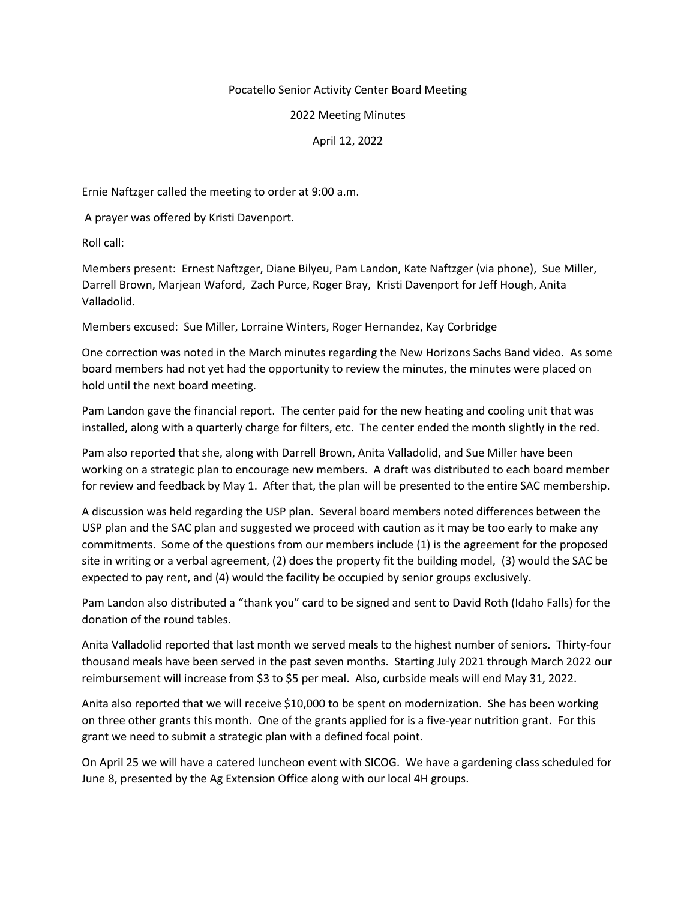## Pocatello Senior Activity Center Board Meeting

## 2022 Meeting Minutes

## April 12, 2022

Ernie Naftzger called the meeting to order at 9:00 a.m.

A prayer was offered by Kristi Davenport.

Roll call:

Members present: Ernest Naftzger, Diane Bilyeu, Pam Landon, Kate Naftzger (via phone), Sue Miller, Darrell Brown, Marjean Waford, Zach Purce, Roger Bray, Kristi Davenport for Jeff Hough, Anita Valladolid.

Members excused: Sue Miller, Lorraine Winters, Roger Hernandez, Kay Corbridge

One correction was noted in the March minutes regarding the New Horizons Sachs Band video. As some board members had not yet had the opportunity to review the minutes, the minutes were placed on hold until the next board meeting.

Pam Landon gave the financial report. The center paid for the new heating and cooling unit that was installed, along with a quarterly charge for filters, etc. The center ended the month slightly in the red.

Pam also reported that she, along with Darrell Brown, Anita Valladolid, and Sue Miller have been working on a strategic plan to encourage new members. A draft was distributed to each board member for review and feedback by May 1. After that, the plan will be presented to the entire SAC membership.

A discussion was held regarding the USP plan. Several board members noted differences between the USP plan and the SAC plan and suggested we proceed with caution as it may be too early to make any commitments. Some of the questions from our members include (1) is the agreement for the proposed site in writing or a verbal agreement, (2) does the property fit the building model, (3) would the SAC be expected to pay rent, and (4) would the facility be occupied by senior groups exclusively.

Pam Landon also distributed a "thank you" card to be signed and sent to David Roth (Idaho Falls) for the donation of the round tables.

Anita Valladolid reported that last month we served meals to the highest number of seniors. Thirty-four thousand meals have been served in the past seven months. Starting July 2021 through March 2022 our reimbursement will increase from \$3 to \$5 per meal. Also, curbside meals will end May 31, 2022.

Anita also reported that we will receive \$10,000 to be spent on modernization. She has been working on three other grants this month. One of the grants applied for is a five-year nutrition grant. For this grant we need to submit a strategic plan with a defined focal point.

On April 25 we will have a catered luncheon event with SICOG. We have a gardening class scheduled for June 8, presented by the Ag Extension Office along with our local 4H groups.